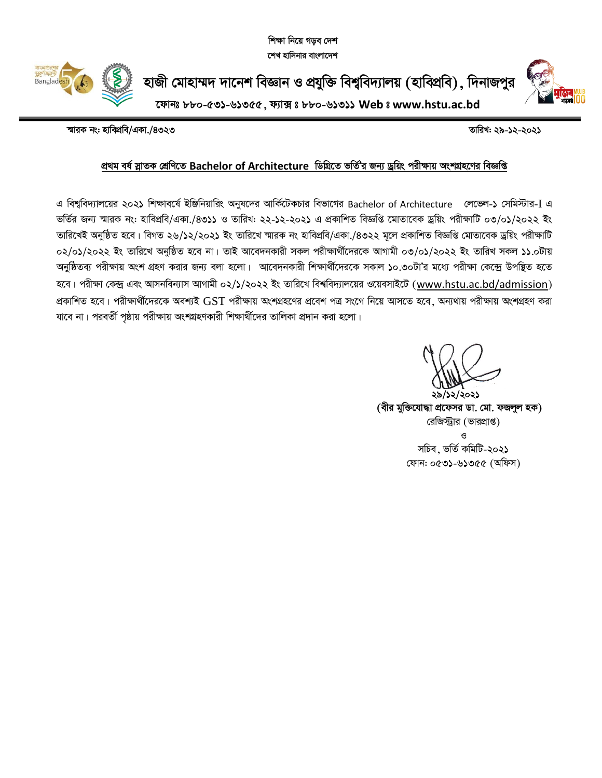শিক্ষা নিয়ে গডব দেশ শেখ হাসিনার বাংলাদেশ



হাজী মোহাম্মদ দানেশ বিজ্ঞান ও প্রযুক্তি বিশ্ববিদ্যালয় (হাবিপ্রবি), দিনাজপুর



ফোনঃ ৮৮০-৫৩১-৬১৩৫৫, ফ্যাক্সঃ ৮৮০-৬১৩১১ Web ঃ www.hstu.ac.bd

স্মারক নং: হাবিপ্রবি/একা./৪৩২৩

তারিখ: ২৯-১২-২০২১

## প্ৰথম বৰ্ষ স্নাতক শ্ৰেণিতে Bachelor of Architecture ডিগ্ৰিতে ভৰ্তি'র জন্য ড্ৰয়িং পরীক্ষায় অংশগ্ৰহণের বিজ্ঞপ্তি

এ বিশ্ববিদ্যালয়ের ২০২১ শিক্ষাবর্ষে ইঞ্জিনিয়ারিং অনুষদের আর্কিটেকচার বিভাগের Bachelor of Architecture জেভেল-১ সেমিস্টার-I এ ভর্তির জন্য স্মারক নং: হাবিপ্রবি/একা./৪৩১১ ও তারিখ: ২২-১২-২০২১ এ প্রকাশিত বিজ্ঞপ্তি মোতাবেক ড্রয়িং পরীক্ষাটি ০৩/০১/২০২২ ইং তারিখেই অনুষ্ঠিত হবে। বিগত ২৬/১২/২০২১ ইং তারিখে স্মারক নং হাবিপ্রবি/একা./৪৩২২ মূলে প্রকাশিত বিজ্ঞপ্তি মোতাবেক ড্রয়িং পরীক্ষাটি ০২/০১/২০২২ ইং তারিখে অনুষ্ঠিত হবে না। তাই আবেদনকারী সকল পরীক্ষার্থীদেরকে আগামী ০৩/০১/২০২২ ইং তারিখ সকল ১১.০টায় অনুষ্ঠিতব্য পরীক্ষায় অংশ গ্রহণ করার জন্য বলা হলো। আবেদনকারী শিক্ষার্থীদেরকে সকাল ১০.৩০টা'র মধ্যে পরীক্ষা কেন্দ্রে উপস্থিত হতে হবে। পরীক্ষা কেন্দ্র এবং আসনবিন্যাস আগামী ০২/১/২০২২ ইং তারিখে বিশ্ববিদ্যালয়ের ওয়েবসাইটে (www.hstu.ac.bd/admission) প্রকাশিত হবে। পরীক্ষার্থীদেরকে অবশ্যই GST পরীক্ষায় অংশগ্রহণের প্রবেশ পত্র সংগে নিয়ে আসতে হবে, অন্যথায় পরীক্ষায় অংশগ্রহণ করা যাবে না। পরবর্তী পৃষ্ঠায় পরীক্ষায় অংশগ্রহণকারী শিক্ষার্থীদের তালিকা প্রদান করা হলো।

১৯/১২/২০২১ (বীর মুক্তিযোদ্ধা প্রফেসর ডা. মো. ফজলুল হক) রেজিস্ট্রার (ভারপ্রাপ্ত) সচিব, ভৰ্তি কমিটি-২০২১ ফোন: ০৫৩১-৬১৩৫৫ (অফিস)